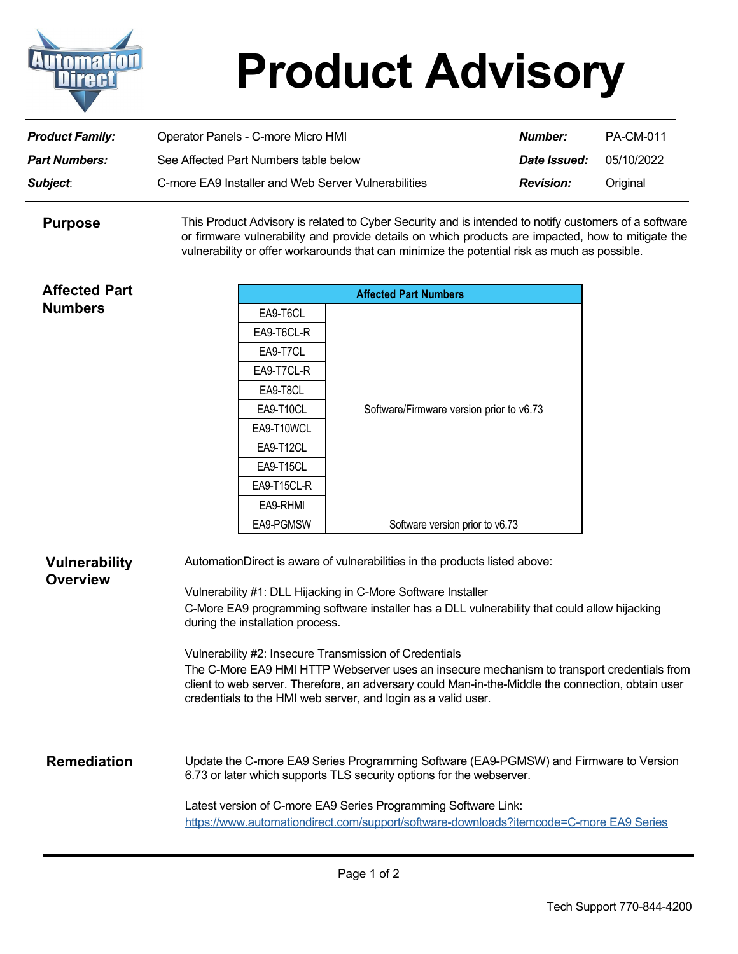

## **Product Advisory**

| <b>Product Family:</b> | Operator Panels - C-more Micro HMI                  | Number:          | <b>PA-CM-011</b> |
|------------------------|-----------------------------------------------------|------------------|------------------|
| <b>Part Numbers:</b>   | See Affected Part Numbers table below               | Date Issued:     | 05/10/2022       |
| <b>Subject:</b>        | C-more EA9 Installer and Web Server Vulnerabilities | <b>Revision:</b> | Original         |

This Product Advisory is related to Cyber Security and is intended to notify customers of a software or firmware vulnerability and provide details on which products are impacted, how to mitigate the vulnerability or offer workarounds that can minimize the potential risk as much as possible. **Purpose**

| <b>Affected Part</b>                    |                                                                                                                                                                                                                                                                                                                                                                                                                                                                                                                                                                                                              | <b>Affected Part Numbers</b> |                                                                                                                                                                                                                                                                                                                           |  |
|-----------------------------------------|--------------------------------------------------------------------------------------------------------------------------------------------------------------------------------------------------------------------------------------------------------------------------------------------------------------------------------------------------------------------------------------------------------------------------------------------------------------------------------------------------------------------------------------------------------------------------------------------------------------|------------------------------|---------------------------------------------------------------------------------------------------------------------------------------------------------------------------------------------------------------------------------------------------------------------------------------------------------------------------|--|
| <b>Numbers</b>                          | EA9-T6CL                                                                                                                                                                                                                                                                                                                                                                                                                                                                                                                                                                                                     |                              |                                                                                                                                                                                                                                                                                                                           |  |
|                                         | EA9-T6CL-R                                                                                                                                                                                                                                                                                                                                                                                                                                                                                                                                                                                                   |                              |                                                                                                                                                                                                                                                                                                                           |  |
|                                         | EA9-T7CL                                                                                                                                                                                                                                                                                                                                                                                                                                                                                                                                                                                                     |                              |                                                                                                                                                                                                                                                                                                                           |  |
|                                         | EA9-T7CL-R                                                                                                                                                                                                                                                                                                                                                                                                                                                                                                                                                                                                   |                              |                                                                                                                                                                                                                                                                                                                           |  |
|                                         | EA9-T8CL                                                                                                                                                                                                                                                                                                                                                                                                                                                                                                                                                                                                     |                              |                                                                                                                                                                                                                                                                                                                           |  |
|                                         | EA9-T10CL                                                                                                                                                                                                                                                                                                                                                                                                                                                                                                                                                                                                    |                              | Software/Firmware version prior to v6.73                                                                                                                                                                                                                                                                                  |  |
|                                         | EA9-T10WCL                                                                                                                                                                                                                                                                                                                                                                                                                                                                                                                                                                                                   |                              |                                                                                                                                                                                                                                                                                                                           |  |
|                                         | EA9-T12CL                                                                                                                                                                                                                                                                                                                                                                                                                                                                                                                                                                                                    |                              |                                                                                                                                                                                                                                                                                                                           |  |
|                                         | EA9-T15CL                                                                                                                                                                                                                                                                                                                                                                                                                                                                                                                                                                                                    |                              |                                                                                                                                                                                                                                                                                                                           |  |
|                                         | EA9-T15CL-R                                                                                                                                                                                                                                                                                                                                                                                                                                                                                                                                                                                                  |                              |                                                                                                                                                                                                                                                                                                                           |  |
|                                         | EA9-RHMI                                                                                                                                                                                                                                                                                                                                                                                                                                                                                                                                                                                                     |                              |                                                                                                                                                                                                                                                                                                                           |  |
|                                         | EA9-PGMSW                                                                                                                                                                                                                                                                                                                                                                                                                                                                                                                                                                                                    |                              | Software version prior to v6.73                                                                                                                                                                                                                                                                                           |  |
| <b>Vulnerability</b><br><b>Overview</b> | AutomationDirect is aware of vulnerabilities in the products listed above:<br>Vulnerability #1: DLL Hijacking in C-More Software Installer<br>C-More EA9 programming software installer has a DLL vulnerability that could allow hijacking<br>during the installation process.<br>Vulnerability #2: Insecure Transmission of Credentials<br>The C-More EA9 HMI HTTP Webserver uses an insecure mechanism to transport credentials from<br>client to web server. Therefore, an adversary could Man-in-the-Middle the connection, obtain user<br>credentials to the HMI web server, and login as a valid user. |                              |                                                                                                                                                                                                                                                                                                                           |  |
| <b>Remediation</b>                      |                                                                                                                                                                                                                                                                                                                                                                                                                                                                                                                                                                                                              |                              | Update the C-more EA9 Series Programming Software (EA9-PGMSW) and Firmware to Version<br>6.73 or later which supports TLS security options for the webserver.<br>Latest version of C-more EA9 Series Programming Software Link:<br>https://www.automationdirect.com/support/software-downloads?itemcode=C-more EA9 Series |  |